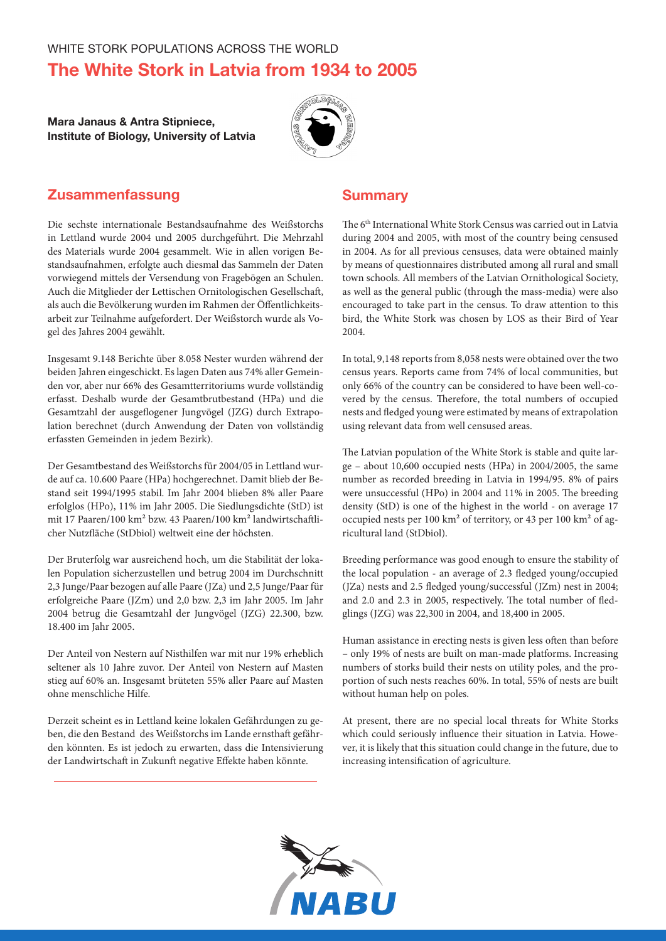# The White Stork in Latvia from 1934 to 2005

## Mara Janaus & Antra Stipniece, Institute of Biology, University of Latvia



# Zusammenfassung

Die sechste internationale Bestandsaufnahme des Weißstorchs in Lettland wurde 2004 und 2005 durchgeführt. Die Mehrzahl des Materials wurde 2004 gesammelt. Wie in allen vorigen Bestandsaufnahmen, erfolgte auch diesmal das Sammeln der Daten vorwiegend mittels der Versendung von Fragebögen an Schulen. Auch die Mitglieder der Lettischen Ornitologischen Gesellschaft, als auch die Bevölkerung wurden im Rahmen der Öffentlichkeitsarbeit zur Teilnahme aufgefordert. Der Weißstorch wurde als Vogel des Jahres 2004 gewählt.

Insgesamt 9.148 Berichte über 8.058 Nester wurden während der beiden Jahren eingeschickt. Es lagen Daten aus 74% aller Gemeinden vor, aber nur 66% des Gesamtterritoriums wurde vollständig erfasst. Deshalb wurde der Gesamtbrutbestand (HPa) und die Gesamtzahl der ausgeflogener Jungvögel (JZG) durch Extrapolation berechnet (durch Anwendung der Daten von vollständig erfassten Gemeinden in jedem Bezirk).

Der Gesamtbestand des Weißstorchs für 2004/05 in Lettland wurde auf ca. 10.600 Paare (HPa) hochgerechnet. Damit blieb der Bestand seit 1994/1995 stabil. Im Jahr 2004 blieben 8% aller Paare erfolglos (HPo), 11% im Jahr 2005. Die Siedlungsdichte (StD) ist mit 17 Paaren/100 km² bzw. 43 Paaren/100 km² landwirtschaftlicher Nutzfläche (StDbiol) weltweit eine der höchsten.

Der Bruterfolg war ausreichend hoch, um die Stabilität der lokalen Population sicherzustellen und betrug 2004 im Durchschnitt 2,3 Junge/Paar bezogen auf alle Paare (JZa) und 2,5 Junge/Paar für erfolgreiche Paare (JZm) und 2,0 bzw. 2,3 im Jahr 2005. Im Jahr 2004 betrug die Gesamtzahl der Jungvögel (JZG) 22.300, bzw. 18.400 im Jahr 2005.

Der Anteil von Nestern auf Nisthilfen war mit nur 19% erheblich seltener als 10 Jahre zuvor. Der Anteil von Nestern auf Masten stieg auf 60% an. Insgesamt brüteten 55% aller Paare auf Masten ohne menschliche Hilfe.

Derzeit scheint es in Lettland keine lokalen Gefährdungen zu geben, die den Bestand des Weißstorchs im Lande ernsthaft gefährden könnten. Es ist jedoch zu erwarten, dass die Intensivierung der Landwirtschaft in Zukunft negative Effekte haben könnte.

# **Summary**

The 6<sup>th</sup> International White Stork Census was carried out in Latvia during 2004 and 2005, with most of the country being censused in 2004. As for all previous censuses, data were obtained mainly by means of questionnaires distributed among all rural and small town schools. All members of the Latvian Ornithological Society, as well as the general public (through the mass-media) were also encouraged to take part in the census. To draw attention to this bird, the White Stork was chosen by LOS as their Bird of Year 2004.

In total, 9,148 reports from 8,058 nests were obtained over the two census years. Reports came from 74% of local communities, but only 66% of the country can be considered to have been well-covered by the census. Therefore, the total numbers of occupied nests and fledged young were estimated by means of extrapolation using relevant data from well censused areas.

The Latvian population of the White Stork is stable and quite large – about 10,600 occupied nests (HPa) in 2004/2005, the same number as recorded breeding in Latvia in 1994/95. 8% of pairs were unsuccessful (HPo) in 2004 and 11% in 2005. The breeding density (StD) is one of the highest in the world - on average 17 occupied nests per 100 km² of territory, or 43 per 100 km² of agricultural land (StDbiol).

Breeding performance was good enough to ensure the stability of the local population - an average of 2.3 fledged young/occupied (JZa) nests and 2.5 fledged young/successful (JZm) nest in 2004; and 2.0 and 2.3 in 2005, respectively. The total number of fledglings (JZG) was 22,300 in 2004, and 18,400 in 2005.

Human assistance in erecting nests is given less often than before – only 19% of nests are built on man-made platforms. Increasing numbers of storks build their nests on utility poles, and the proportion of such nests reaches 60%. In total, 55% of nests are built without human help on poles.

At present, there are no special local threats for White Storks which could seriously influence their situation in Latvia. However, it is likely that this situation could change in the future, due to increasing intensification of agriculture.

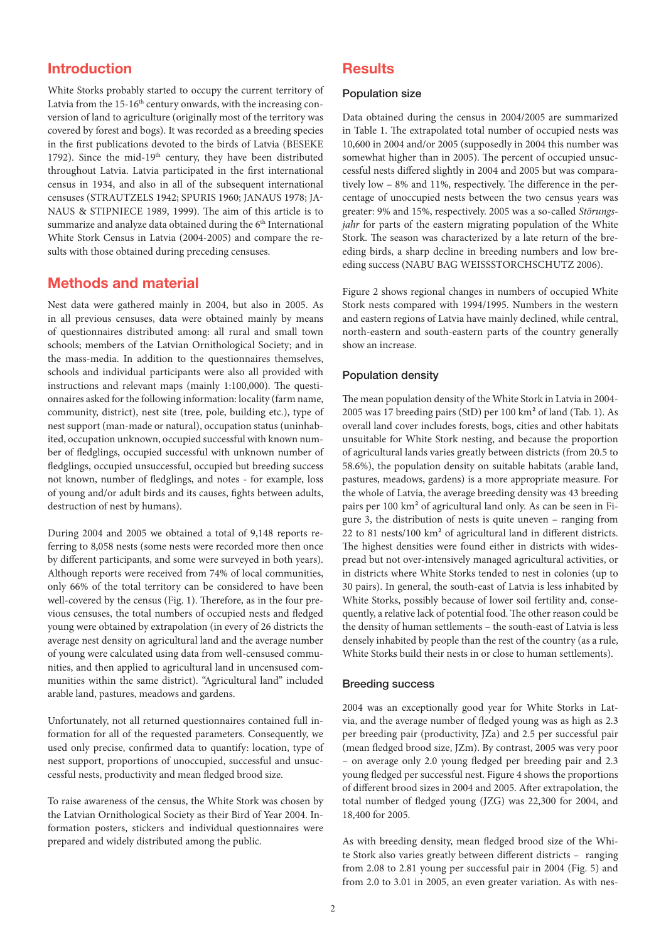# Introduction

White Storks probably started to occupy the current territory of Latvia from the 15-16<sup>th</sup> century onwards, with the increasing conversion of land to agriculture (originally most of the territory was covered by forest and bogs). It was recorded as a breeding species in the first publications devoted to the birds of Latvia (BESEKE 1792). Since the mid-19<sup>th</sup> century, they have been distributed throughout Latvia. Latvia participated in the first international census in 1934, and also in all of the subsequent international censuses (STRAUTZELS 1942; SPURIS 1960; JANAUS 1978; JA-NAUS & STIPNIECE 1989, 1999). The aim of this article is to summarize and analyze data obtained during the 6<sup>th</sup> International White Stork Census in Latvia (2004-2005) and compare the results with those obtained during preceding censuses.

### Methods and material

Nest data were gathered mainly in 2004, but also in 2005. As in all previous censuses, data were obtained mainly by means of questionnaires distributed among: all rural and small town schools; members of the Latvian Ornithological Society; and in the mass-media. In addition to the questionnaires themselves, schools and individual participants were also all provided with instructions and relevant maps (mainly 1:100,000). The questionnaires asked for the following information: locality (farm name, community, district), nest site (tree, pole, building etc.), type of nest support (man-made or natural), occupation status (uninhabited, occupation unknown, occupied successful with known number of fledglings, occupied successful with unknown number of fledglings, occupied unsuccessful, occupied but breeding success not known, number of fledglings, and notes - for example, loss of young and/or adult birds and its causes, fights between adults, destruction of nest by humans).

During 2004 and 2005 we obtained a total of 9,148 reports referring to 8,058 nests (some nests were recorded more then once by different participants, and some were surveyed in both years). Although reports were received from 74% of local communities, only 66% of the total territory can be considered to have been well-covered by the census (Fig. 1). Therefore, as in the four previous censuses, the total numbers of occupied nests and fledged young were obtained by extrapolation (in every of 26 districts the average nest density on agricultural land and the average number of young were calculated using data from well-censused communities, and then applied to agricultural land in uncensused communities within the same district). "Agricultural land" included arable land, pastures, meadows and gardens.

Unfortunately, not all returned questionnaires contained full information for all of the requested parameters. Consequently, we used only precise, confirmed data to quantify: location, type of nest support, proportions of unoccupied, successful and unsuccessful nests, productivity and mean fledged brood size.

To raise awareness of the census, the White Stork was chosen by the Latvian Ornithological Society as their Bird of Year 2004. Information posters, stickers and individual questionnaires were prepared and widely distributed among the public.

# **Results**

#### Population size

Data obtained during the census in 2004/2005 are summarized in Table 1. The extrapolated total number of occupied nests was 10,600 in 2004 and/or 2005 (supposedly in 2004 this number was somewhat higher than in 2005). The percent of occupied unsuccessful nests differed slightly in 2004 and 2005 but was comparatively low – 8% and 11%, respectively. The difference in the percentage of unoccupied nests between the two census years was greater: 9% and 15%, respectively. 2005 was a so-called *Störungsjahr* for parts of the eastern migrating population of the White Stork. The season was characterized by a late return of the breeding birds, a sharp decline in breeding numbers and low breeding success (NABU BAG WEISSSTORCHSCHUTZ 2006).

Figure 2 shows regional changes in numbers of occupied White Stork nests compared with 1994/1995. Numbers in the western and eastern regions of Latvia have mainly declined, while central, north-eastern and south-eastern parts of the country generally show an increase.

#### Population density

The mean population density of the White Stork in Latvia in 2004- 2005 was 17 breeding pairs (StD) per 100 km² of land (Tab. 1). As overall land cover includes forests, bogs, cities and other habitats unsuitable for White Stork nesting, and because the proportion of agricultural lands varies greatly between districts (from 20.5 to 58.6%), the population density on suitable habitats (arable land, pastures, meadows, gardens) is a more appropriate measure. For the whole of Latvia, the average breeding density was 43 breeding pairs per 100 km² of agricultural land only. As can be seen in Figure 3, the distribution of nests is quite uneven – ranging from 22 to 81 nests/100 km² of agricultural land in different districts. The highest densities were found either in districts with widespread but not over-intensively managed agricultural activities, or in districts where White Storks tended to nest in colonies (up to 30 pairs). In general, the south-east of Latvia is less inhabited by White Storks, possibly because of lower soil fertility and, consequently, a relative lack of potential food. The other reason could be the density of human settlements – the south-east of Latvia is less densely inhabited by people than the rest of the country (as a rule, White Storks build their nests in or close to human settlements).

#### Breeding success

2004 was an exceptionally good year for White Storks in Latvia, and the average number of fledged young was as high as 2.3 per breeding pair (productivity, JZa) and 2.5 per successful pair (mean fledged brood size, JZm). By contrast, 2005 was very poor – on average only 2.0 young fledged per breeding pair and 2.3 young fledged per successful nest. Figure 4 shows the proportions of different brood sizes in 2004 and 2005. After extrapolation, the total number of fledged young (JZG) was 22,300 for 2004, and 18,400 for 2005.

As with breeding density, mean fledged brood size of the White Stork also varies greatly between different districts – ranging from 2.08 to 2.81 young per successful pair in 2004 (Fig. 5) and from 2.0 to 3.01 in 2005, an even greater variation. As with nes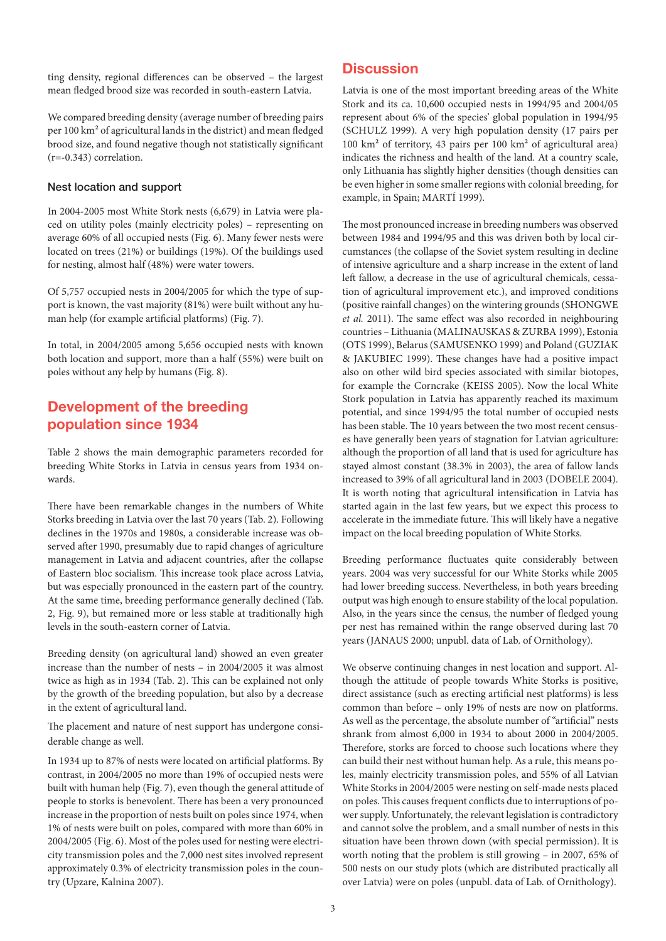ting density, regional differences can be observed – the largest mean fledged brood size was recorded in south-eastern Latvia.

We compared breeding density (average number of breeding pairs per 100 km² of agricultural lands in the district) and mean fledged brood size, and found negative though not statistically significant (r=-0.343) correlation.

#### Nest location and support

In 2004-2005 most White Stork nests (6,679) in Latvia were placed on utility poles (mainly electricity poles) – representing on average 60% of all occupied nests (Fig. 6). Many fewer nests were located on trees (21%) or buildings (19%). Of the buildings used for nesting, almost half (48%) were water towers.

Of 5,757 occupied nests in 2004/2005 for which the type of support is known, the vast majority (81%) were built without any human help (for example artificial platforms) (Fig. 7).

In total, in 2004/2005 among 5,656 occupied nests with known both location and support, more than a half (55%) were built on poles without any help by humans (Fig. 8).

# Development of the breeding population since 1934

Table 2 shows the main demographic parameters recorded for breeding White Storks in Latvia in census years from 1934 onwards.

There have been remarkable changes in the numbers of White Storks breeding in Latvia over the last 70 years (Tab. 2). Following declines in the 1970s and 1980s, a considerable increase was observed after 1990, presumably due to rapid changes of agriculture management in Latvia and adjacent countries, after the collapse of Eastern bloc socialism. This increase took place across Latvia, but was especially pronounced in the eastern part of the country. At the same time, breeding performance generally declined (Tab. 2, Fig. 9), but remained more or less stable at traditionally high levels in the south-eastern corner of Latvia.

Breeding density (on agricultural land) showed an even greater increase than the number of nests – in 2004/2005 it was almost twice as high as in 1934 (Tab. 2). This can be explained not only by the growth of the breeding population, but also by a decrease in the extent of agricultural land.

The placement and nature of nest support has undergone considerable change as well.

In 1934 up to 87% of nests were located on artificial platforms. By contrast, in 2004/2005 no more than 19% of occupied nests were built with human help (Fig. 7), even though the general attitude of people to storks is benevolent. There has been a very pronounced increase in the proportion of nests built on poles since 1974, when 1% of nests were built on poles, compared with more than 60% in 2004/2005 (Fig. 6). Most of the poles used for nesting were electricity transmission poles and the 7,000 nest sites involved represent approximately 0.3% of electricity transmission poles in the country (Upzare, Kalnina 2007).

# **Discussion**

Latvia is one of the most important breeding areas of the White Stork and its ca. 10,600 occupied nests in 1994/95 and 2004/05 represent about 6% of the species' global population in 1994/95 (SCHULZ 1999). A very high population density (17 pairs per 100 km² of territory, 43 pairs per 100 km² of agricultural area) indicates the richness and health of the land. At a country scale, only Lithuania has slightly higher densities (though densities can be even higher in some smaller regions with colonial breeding, for example, in Spain; MARTÍ 1999).

The most pronounced increase in breeding numbers was observed between 1984 and 1994/95 and this was driven both by local circumstances (the collapse of the Soviet system resulting in decline of intensive agriculture and a sharp increase in the extent of land left fallow, a decrease in the use of agricultural chemicals, cessation of agricultural improvement etc.), and improved conditions (positive rainfall changes) on the wintering grounds (SHONGWE *et al.* 2011). The same effect was also recorded in neighbouring countries – Lithuania (MALINAUSKAS & ZURBA 1999), Estonia (OTS 1999), Belarus (SAMUSENKO 1999) and Poland (GUZIAK & JAKUBIEC 1999). These changes have had a positive impact also on other wild bird species associated with similar biotopes, for example the Corncrake (KEISS 2005). Now the local White Stork population in Latvia has apparently reached its maximum potential, and since 1994/95 the total number of occupied nests has been stable. The 10 years between the two most recent censuses have generally been years of stagnation for Latvian agriculture: although the proportion of all land that is used for agriculture has stayed almost constant (38.3% in 2003), the area of fallow lands increased to 39% of all agricultural land in 2003 (DOBELE 2004). It is worth noting that agricultural intensification in Latvia has started again in the last few years, but we expect this process to accelerate in the immediate future. This will likely have a negative impact on the local breeding population of White Storks.

Breeding performance fluctuates quite considerably between years. 2004 was very successful for our White Storks while 2005 had lower breeding success. Nevertheless, in both years breeding output was high enough to ensure stability of the local population. Also, in the years since the census, the number of fledged young per nest has remained within the range observed during last 70 years (JANAUS 2000; unpubl. data of Lab. of Ornithology).

We observe continuing changes in nest location and support. Although the attitude of people towards White Storks is positive, direct assistance (such as erecting artificial nest platforms) is less common than before – only 19% of nests are now on platforms. As well as the percentage, the absolute number of "artificial" nests shrank from almost 6,000 in 1934 to about 2000 in 2004/2005. Therefore, storks are forced to choose such locations where they can build their nest without human help. As a rule, this means poles, mainly electricity transmission poles, and 55% of all Latvian White Storks in 2004/2005 were nesting on self-made nests placed on poles. This causes frequent conflicts due to interruptions of power supply. Unfortunately, the relevant legislation is contradictory and cannot solve the problem, and a small number of nests in this situation have been thrown down (with special permission). It is worth noting that the problem is still growing – in 2007, 65% of 500 nests on our study plots (which are distributed practically all over Latvia) were on poles (unpubl. data of Lab. of Ornithology).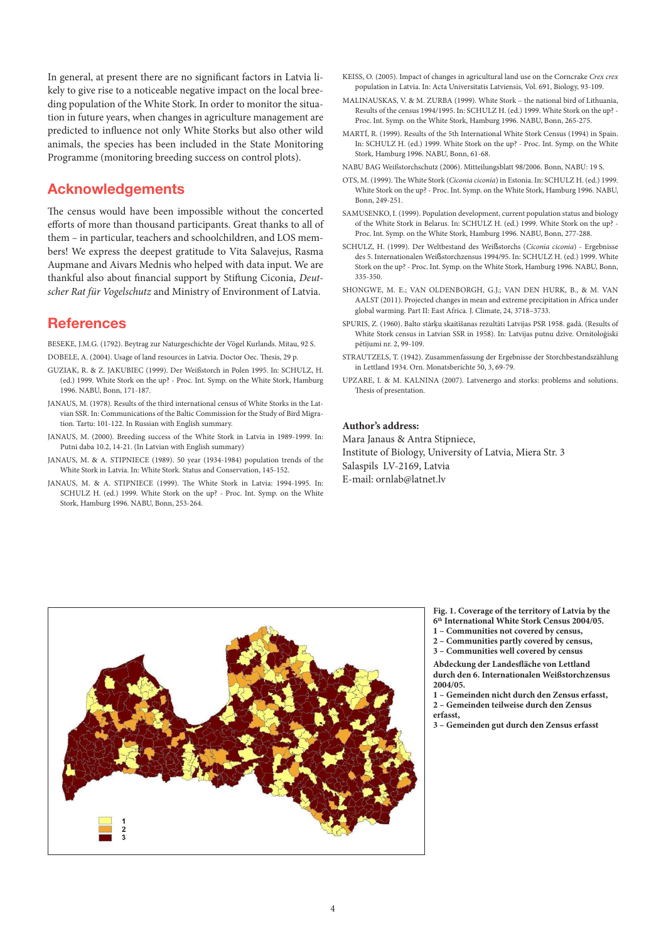In general, at present there are no significant factors in Latvia likely to give rise to a noticeable negative impact on the local breeding population of the White Stork. In order to monitor the situation in future years, when changes in agriculture management are predicted to influence not only White Storks but also other wild animals, the species has been included in the State Monitoring Programme (monitoring breeding success on control plots).

## Acknowledgements

The census would have been impossible without the concerted efforts of more than thousand participants. Great thanks to all of them – in particular, teachers and schoolchildren, and LOS members! We express the deepest gratitude to Vita Salavejus, Rasma Aupmane and Aivars Mednis who helped with data input. We are thankful also about financial support by Stiftung Ciconia, *Deutscher Rat für Vogelschutz* and Ministry of Environment of Latvia.

### **References**

BESEKE, J.M.G. (1792). Beytrag zur Naturgeschichte der Vögel Kurlands. Mitau, 92 S. DOBELE, A. (2004). Usage of land resources in Latvia. Doctor Oec. Thesis, 29 p.

- GUZIAK, R. & Z. JAKUBIEC (1999). Der Weißstorch in Polen 1995. In: SCHULZ, H. (ed.) 1999. White Stork on the up? - Proc. Int. Symp. on the White Stork, Hamburg 1996. NABU, Bonn, 171-187.
- JANAUS, M. (1978). Results of the third international census of White Storks in the Latvian SSR. In: Communications of the Baltic Commission for the Study of Bird Migration. Tartu: 101-122. In Russian with English summary.
- JANAUS, M. (2000). Breeding success of the White Stork in Latvia in 1989-1999. In: Putni daba 10.2, 14-21. (In Latvian with English summary)
- JANAUS, M. & A. STIPNIECE (1989). 50 year (1934-1984) population trends of the White Stork in Latvia. In: White Stork. Status and Conservation, 145-152.
- JANAUS, M. & A. STIPNIECE (1999). The White Stork in Latvia: 1994-1995. In: SCHULZ H. (ed.) 1999. White Stork on the up? - Proc. Int. Symp. on the White Stork, Hamburg 1996. NABU, Bonn, 253-264.
- KEISS, O. (2005). Impact of changes in agricultural land use on the Corncrake *Crex crex* population in Latvia. In: Acta Universitatis Latviensis, Vol. 691, Biology, 93-109.
- MALINAUSKAS, V. & M. ZURBA (1999). White Stork the national bird of Lithuania, Results of the census 1994/1995. In: SCHULZ H. (ed.) 1999. White Stork on the up? - Proc. Int. Symp. on the White Stork, Hamburg 1996. NABU, Bonn, 265-275.
- MARTÍ, R. (1999). Results of the 5th International White Stork Census (1994) in Spain. In: SCHULZ H. (ed.) 1999. White Stork on the up? - Proc. Int. Symp. on the White Stork, Hamburg 1996. NABU, Bonn, 61-68.
- NABU BAG Weißstorchschutz (2006). Mitteilungsblatt 98/2006. Bonn, NABU: 19 S.
- OTS, M. (1999). The White Stork (*Ciconia ciconia*) in Estonia. In: SCHULZ H. (ed.) 1999. White Stork on the up? - Proc. Int. Symp. on the White Stork, Hamburg 1996. NABU, Bonn, 249-251.
- SAMUSENKO, I. (1999). Population development, current population status and biology of the White Stork in Belarus. In: SCHULZ H. (ed.) 1999. White Stork on the up? - Proc. Int. Symp. on the White Stork, Hamburg 1996. NABU, Bonn, 277-288.
- SCHULZ, H. (1999). Der Weltbestand des Weißstorchs (*Ciconia ciconia*) Ergebnisse des 5. Internationalen Weißstorchzensus 1994/95. In: SCHULZ H. (ed.) 1999. White Stork on the up? - Proc. Int. Symp. on the White Stork, Hamburg 1996. NABU, Bonn, 335-350.
- SHONGWE, M. E.; VAN OLDENBORGH, G.J.; VAN DEN HURK, B., & M. VAN AALST (2011). Projected changes in mean and extreme precipitation in Africa under global warming. Part II: East Africa. J. Climate, 24, 3718–3733.
- SPURIS, Z. (1960). Balto stārķu skaitīšanas rezultāti Latvijas PSR 1958. gadā. (Results of White Stork census in Latvian SSR in 1958). In: Latvijas putnu dzīve. Ornitoloģiski pētījumi nr. 2, 99-109.
- STRAUTZELS, T. (1942). Zusammenfassung der Ergebnisse der Storchbestandszählung in Lettland 1934. Orn. Monatsberichte 50, 3, 69-79.
- UPZARE, I. & M. KALNINA (2007). Latvenergo and storks: problems and solutions. Thesis of presentation.

#### **Author's address:**

Mara Janaus & Antra Stipniece, Institute of Biology, University of Latvia, Miera Str. 3 Salaspils LV-2169, Latvia E-mail: ornlab@latnet.lv



**Fig. 1. Coverage of the territory of Latvia by the 6th International White Stork Census 2004/05.** 

- **1 Communities not covered by census,**
- **2 Communities partly covered by census,**
- **3 Communities well covered by census**

**Abdeckung der Landesfläche von Lettland durch den 6. Internationalen Weißstorchzensus 2004/05.**

**1 – Gemeinden nicht durch den Zensus erfasst, 2 – Gemeinden teilweise durch den Zensus erfasst,** 

**3 – Gemeinden gut durch den Zensus erfasst**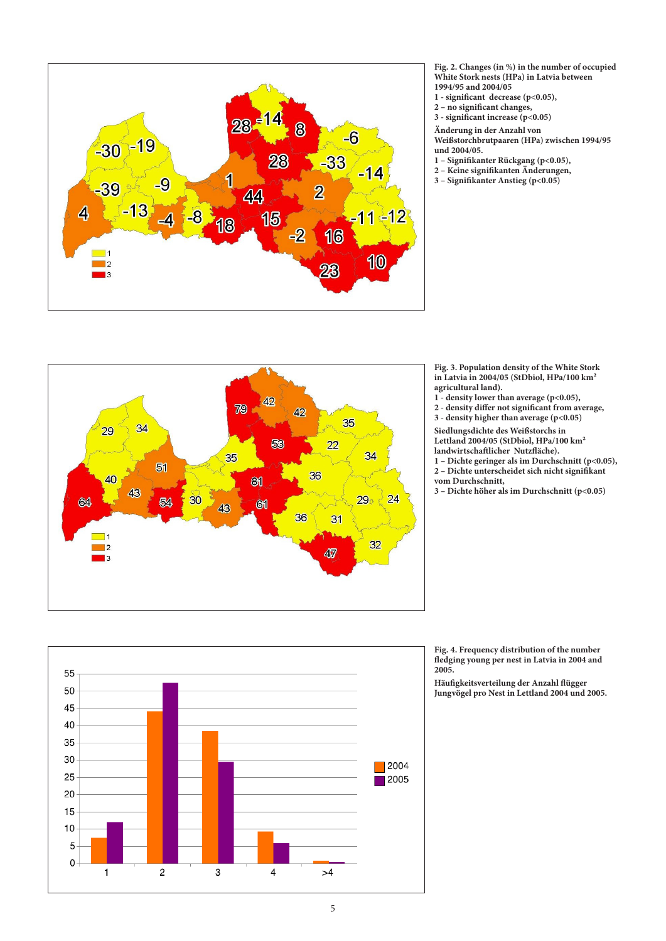

**Fig. 2. Changes (in %) in the number of occupied White Stork nests (HPa) in Latvia between 1994/95 and 2004/05**

- **1 significant decrease (p<0.05),**
- **2 no significant changes,**
- **3 significant increase (p<0.05)**

**Änderung in der Anzahl von** 

**Weißstorchbrutpaaren (HPa) zwischen 1994/95 und 2004/05.** 

- **1 Signifikanter Rückgang (p<0.05),**
- **2 Keine signifikanten Änderungen,**
- **3 Signifikanter Anstieg (p<0.05)**



25

 $\mathbf{1}$ 

 $\overline{2}$ 

3

4

**Fig. 3. Population density of the White Stork in Latvia in 2004/05 (StDbiol, HPa/100 km² agricultural land).** 

- **1 density lower than average (p<0.05),**
- **2 density differ not significant from average, 3 - density higher than average (p<0.05)**

**Siedlungsdichte des Weißstorchs in Lettland 2004/05 (StDbiol, HPa/100 km² landwirtschaftlicher Nutzfläche).**

- **1 Dichte geringer als im Durchschnitt (p<0.05), 2 – Dichte unterscheidet sich nicht signifikant vom Durchschnitt,**
- **3 Dichte höher als im Durchschnitt (p<0.05)**

**Fig. 4. Frequency distribution of the number fledging young per nest in Latvia in 2004 and 2005.** 

**Häufigkeitsverteilung der Anzahl flügger Jungvögel pro Nest in Lettland 2004 und 2005.** 

 $>4$ 

 $\blacksquare$  2004

 $\overline{\phantom{1}}$  2005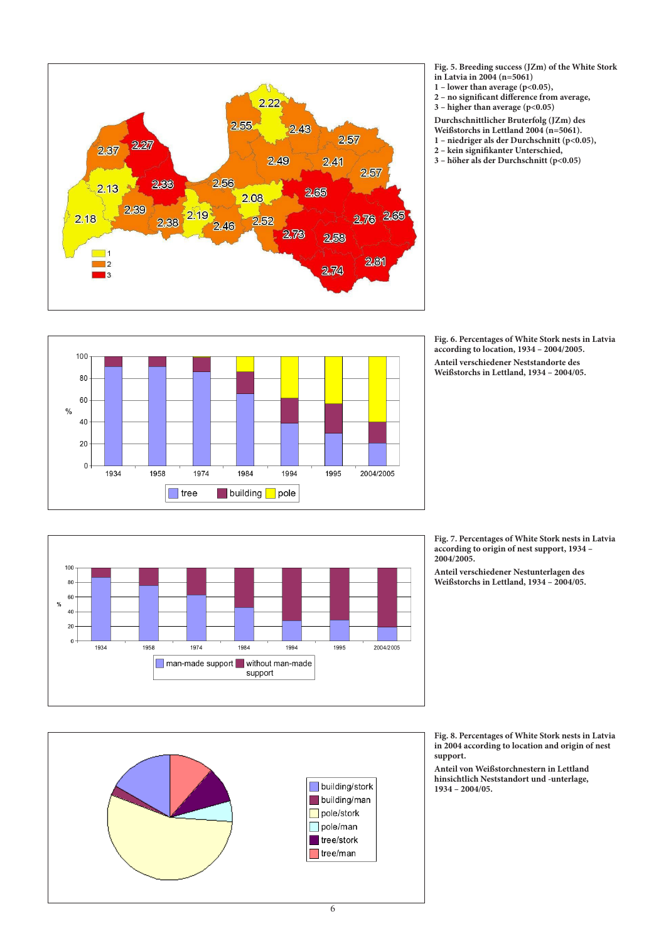

**Fig. 5. Breeding success (JZm) of the White Stork in Latvia in 2004 (n=5061)**

- **1 lower than average (p<0.05),**
- **2 no significant difference from average,**
- **3 higher than average (p<0.05)**

**Durchschnittlicher Bruterfolg (JZm) des** 

- **Weißstorchs in Lettland 2004 (n=5061). 1 – niedriger als der Durchschnitt (p<0.05),**
- **2 kein signifikanter Unterschied,**
- **3 höher als der Durchschnitt (p<0.05)**

**Fig. 6. Percentages of White Stork nests in Latvia according to location, 1934 – 2004/2005. Anteil verschiedener Neststandorte des Weißstorchs in Lettland, 1934 – 2004/05.** 





**Fig. 7. Percentages of White Stork nests in Latvia according to origin of nest support, 1934 – 2004/2005.** 

**Anteil verschiedener Nestunterlagen des Weißstorchs in Lettland, 1934 – 2004/05.**



**Fig. 8. Percentages of White Stork nests in Latvia in 2004 according to location and origin of nest support.**

**Anteil von Weißstorchnestern in Lettland hinsichtlich Neststandort und -unterlage, 1934 – 2004/05.** 

6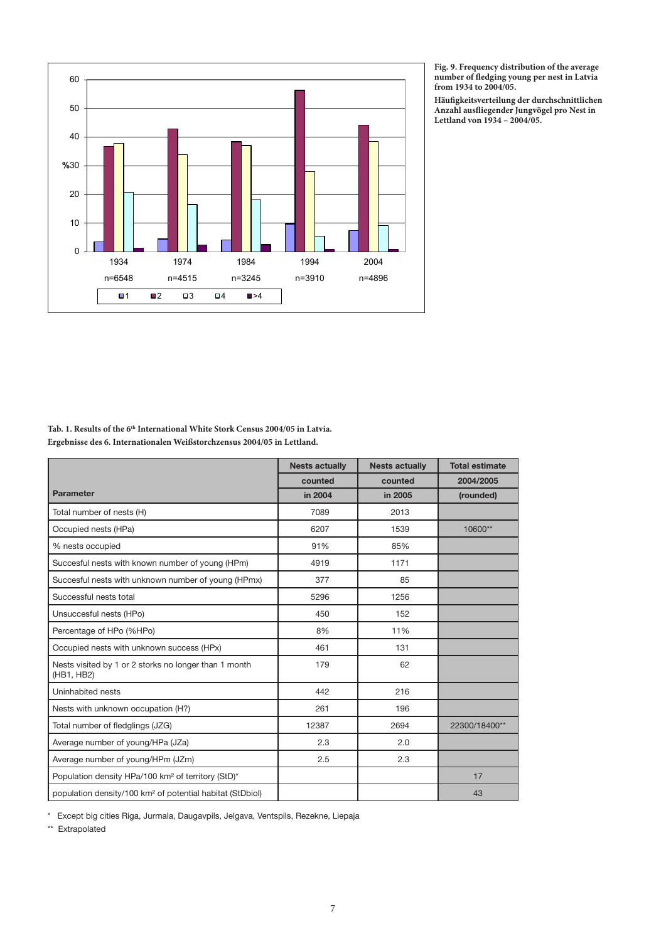

**Fig. 9. Frequency distribution of the average number of fledging young per nest in Latvia from 1934 to 2004/05.**

**Häufigkeitsverteilung der durchschnittlichen Anzahl ausfliegender Jungvögel pro Nest in Lettland von 1934 – 2004/05.**

| Tab. 1. Results of the 6 <sup>th</sup> International White Stork Census 2004/05 in Latvia. |
|--------------------------------------------------------------------------------------------|
| Ergebnisse des 6. Internationalen Weißstorchzensus 2004/05 in Lettland.                    |

|                                                                       | <b>Nests actually</b> | <b>Nests actually</b> | <b>Total estimate</b> |
|-----------------------------------------------------------------------|-----------------------|-----------------------|-----------------------|
|                                                                       | counted               | counted               | 2004/2005             |
| <b>Parameter</b>                                                      | in 2004               | in 2005               | (rounded)             |
| Total number of nests (H)                                             | 7089                  | 2013                  |                       |
| Occupied nests (HPa)                                                  | 6207                  | 1539                  | 10600**               |
| % nests occupied                                                      | 91%                   | 85%                   |                       |
| Succesful nests with known number of young (HPm)                      | 4919                  | 1171                  |                       |
| Succesful nests with unknown number of young (HPmx)                   | 377                   | 85                    |                       |
| Successful nests total                                                | 5296                  | 1256                  |                       |
| Unsuccesful nests (HPo)                                               | 450                   | 152                   |                       |
| Percentage of HPo (%HPo)                                              | 8%                    | 11%                   |                       |
| Occupied nests with unknown success (HPx)                             | 461                   | 131                   |                       |
| Nests visited by 1 or 2 storks no longer than 1 month<br>(HB1, HB2)   | 179                   | 62                    |                       |
| Uninhabited nests                                                     | 442                   | 216                   |                       |
| Nests with unknown occupation (H?)                                    | 261                   | 196                   |                       |
| Total number of fledglings (JZG)                                      | 12387                 | 2694                  | 22300/18400**         |
| Average number of young/HPa (JZa)                                     | 2.3                   | 2.0                   |                       |
| Average number of young/HPm (JZm)                                     | 2.5                   | 2.3                   |                       |
| Population density HPa/100 km <sup>2</sup> of territory (StD)*        |                       |                       | 17                    |
| population density/100 km <sup>2</sup> of potential habitat (StDbiol) |                       |                       | 43                    |

\* Except big cities Riga, Jurmala, Daugavpils, Jelgava, Ventspils, Rezekne, Liepaja

\*\* Extrapolated